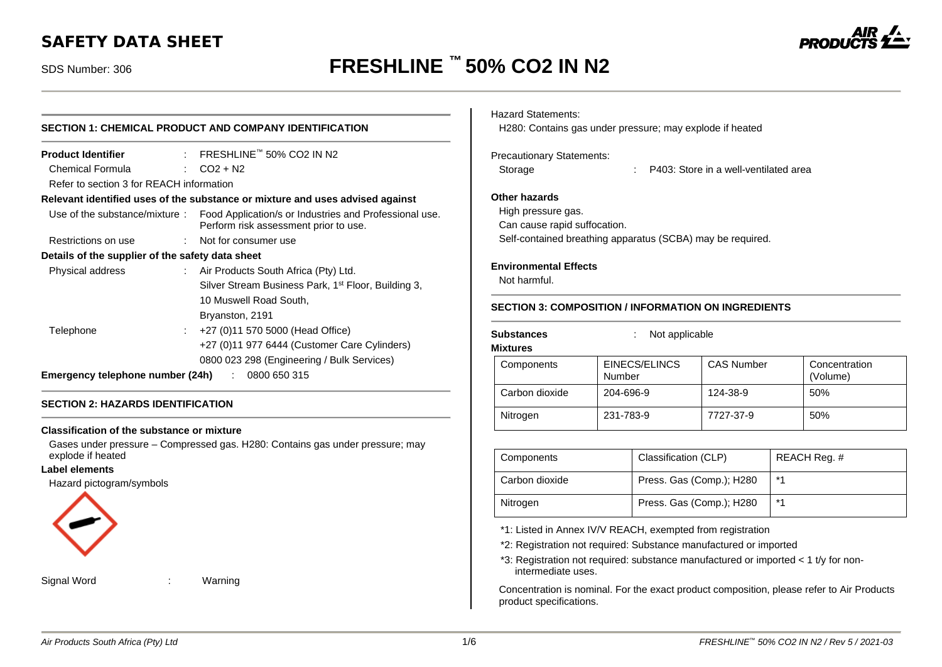# *SAFETY DATA SHEET*

# SDS Number: 306 **FRESHLINE ™ 50% CO2 IN N2**

|                                                                   |                            | SECTION 1: CHEMICAL PRODUCT AND COMPANY IDENTIFICATION                                                                         |
|-------------------------------------------------------------------|----------------------------|--------------------------------------------------------------------------------------------------------------------------------|
| <b>Product Identifier</b>                                         | $\mathcal{L}^{\text{max}}$ | FRESHLINE™ 50% CO2 IN N2                                                                                                       |
| Chemical Formula                                                  |                            | $\therefore$ CO2 + N2                                                                                                          |
| Refer to section 3 for REACH information                          |                            |                                                                                                                                |
|                                                                   |                            | Relevant identified uses of the substance or mixture and uses advised against                                                  |
|                                                                   |                            | Use of the substance/mixture : Food Application/s or Industries and Professional use.<br>Perform risk assessment prior to use. |
| Restrictions on use                                               |                            | : Not for consumer use                                                                                                         |
| Details of the supplier of the safety data sheet                  |                            |                                                                                                                                |
| Physical address                                                  | $\mathcal{L}$              | Air Products South Africa (Pty) Ltd.                                                                                           |
|                                                                   |                            | Silver Stream Business Park, 1 <sup>st</sup> Floor, Building 3,                                                                |
|                                                                   |                            | 10 Muswell Road South,                                                                                                         |
|                                                                   |                            | Bryanston, 2191                                                                                                                |
| Telephone                                                         | $\mathcal{L}$              | +27 (0)11 570 5000 (Head Office)                                                                                               |
|                                                                   |                            | +27 (0)11 977 6444 (Customer Care Cylinders)                                                                                   |
|                                                                   |                            | 0800 023 298 (Engineering / Bulk Services)                                                                                     |
| <b>Emergency telephone number (24h)</b> $\therefore$ 0800 650 315 |                            |                                                                                                                                |

### **SECTION 2: HAZARDS IDENTIFICATION**

#### **Classification of the substance or mixture**

Gases under pressure – Compressed gas. H280: Contains gas under pressure; may explode if heated

### **Label elements**

Hazard pictogram/symbols



Signal Word : Warning

Hazard Statements:

H280: Contains gas under pressure; may explode if heated

### Precautionary Statements:

Storage : P403: Store in a well-ventilated area

### **Other hazards**

High pressure gas.

Can cause rapid suffocation.

Self-contained breathing apparatus (SCBA) may be required.

### **Environmental Effects**

Not harmful.

### **SECTION 3: COMPOSITION / INFORMATION ON INGREDIENTS**

**Substances** : Not applicable

**Mixtures**

| Components     | EINECS/ELINCS<br>Number | <b>CAS Number</b> | Concentration<br>(Volume) |
|----------------|-------------------------|-------------------|---------------------------|
| Carbon dioxide | 204-696-9               | 124-38-9          | 50%                       |
| Nitrogen       | 231-783-9               | 7727-37-9         | 50%                       |

| Components     | Classification (CLP)     | REACH Req. # |
|----------------|--------------------------|--------------|
| Carbon dioxide | Press. Gas (Comp.); H280 | $*4$         |
| Nitrogen       | Press. Gas (Comp.); H280 | $*4$         |

\*1: Listed in Annex IV/V REACH, exempted from registration

\*2: Registration not required: Substance manufactured or imported

\*3: Registration not required: substance manufactured or imported < 1 t/y for nonintermediate uses.

Concentration is nominal. For the exact product composition, please refer to Air Products product specifications.

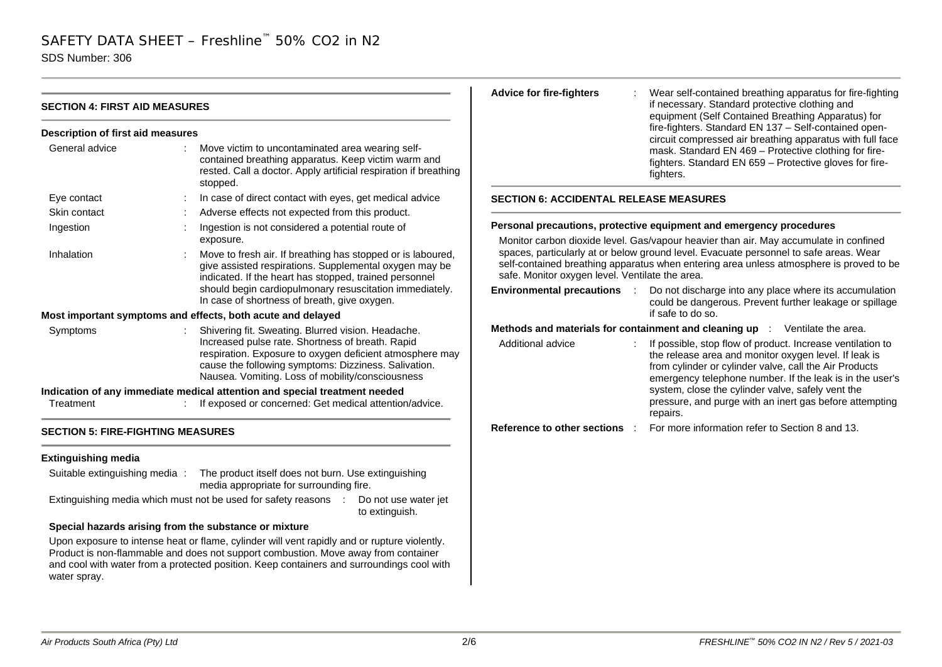SDS Number: 306

|                                                                                                                                                                                                           |  |                                                                                                                                                                                                                          | <b>Advice for fire-fighters</b>                                                                                                                                                                                                     | Wear self-contained breathing apparatus for fire-fighting                                                                                                                                                                                 |  |
|-----------------------------------------------------------------------------------------------------------------------------------------------------------------------------------------------------------|--|--------------------------------------------------------------------------------------------------------------------------------------------------------------------------------------------------------------------------|-------------------------------------------------------------------------------------------------------------------------------------------------------------------------------------------------------------------------------------|-------------------------------------------------------------------------------------------------------------------------------------------------------------------------------------------------------------------------------------------|--|
| <b>SECTION 4: FIRST AID MEASURES</b>                                                                                                                                                                      |  |                                                                                                                                                                                                                          |                                                                                                                                                                                                                                     | if necessary. Standard protective clothing and<br>equipment (Self Contained Breathing Apparatus) for                                                                                                                                      |  |
| <b>Description of first aid measures</b>                                                                                                                                                                  |  |                                                                                                                                                                                                                          |                                                                                                                                                                                                                                     | fire-fighters. Standard EN 137 - Self-contained open-<br>circuit compressed air breathing apparatus with full face                                                                                                                        |  |
| General advice<br>Move victim to uncontaminated area wearing self-<br>contained breathing apparatus. Keep victim warm and<br>rested. Call a doctor. Apply artificial respiration if breathing<br>stopped. |  |                                                                                                                                                                                                                          |                                                                                                                                                                                                                                     | mask. Standard EN 469 - Protective clothing for fire-<br>fighters. Standard EN 659 - Protective gloves for fire-<br>fighters.                                                                                                             |  |
| Eye contact                                                                                                                                                                                               |  | In case of direct contact with eyes, get medical advice                                                                                                                                                                  | <b>SECTION 6: ACCIDENTAL RELEASE MEASURES</b>                                                                                                                                                                                       |                                                                                                                                                                                                                                           |  |
| Skin contact                                                                                                                                                                                              |  | Adverse effects not expected from this product.                                                                                                                                                                          |                                                                                                                                                                                                                                     |                                                                                                                                                                                                                                           |  |
| Ingestion                                                                                                                                                                                                 |  | Ingestion is not considered a potential route of                                                                                                                                                                         |                                                                                                                                                                                                                                     | Personal precautions, protective equipment and emergency procedures                                                                                                                                                                       |  |
|                                                                                                                                                                                                           |  | exposure.                                                                                                                                                                                                                |                                                                                                                                                                                                                                     | Monitor carbon dioxide level. Gas/vapour heavier than air. May accumulate in confined                                                                                                                                                     |  |
| Move to fresh air. If breathing has stopped or is laboured,<br>Inhalation<br>give assisted respirations. Supplemental oxygen may be<br>indicated. If the heart has stopped, trained personnel             |  |                                                                                                                                                                                                                          | spaces, particularly at or below ground level. Evacuate personnel to safe areas. Wear<br>self-contained breathing apparatus when entering area unless atmosphere is proved to be<br>safe. Monitor oxygen level. Ventilate the area. |                                                                                                                                                                                                                                           |  |
|                                                                                                                                                                                                           |  | should begin cardiopulmonary resuscitation immediately.<br>In case of shortness of breath, give oxygen.                                                                                                                  | <b>Environmental precautions :</b>                                                                                                                                                                                                  | Do not discharge into any place where its accumulation<br>could be dangerous. Prevent further leakage or spillage                                                                                                                         |  |
|                                                                                                                                                                                                           |  | Most important symptoms and effects, both acute and delayed                                                                                                                                                              |                                                                                                                                                                                                                                     | if safe to do so.                                                                                                                                                                                                                         |  |
| Symptoms                                                                                                                                                                                                  |  | Shivering fit. Sweating. Blurred vision. Headache.                                                                                                                                                                       |                                                                                                                                                                                                                                     | Methods and materials for containment and cleaning up : Ventilate the area.                                                                                                                                                               |  |
|                                                                                                                                                                                                           |  | Increased pulse rate. Shortness of breath. Rapid<br>respiration. Exposure to oxygen deficient atmosphere may<br>cause the following symptoms: Dizziness. Salivation.<br>Nausea. Vomiting. Loss of mobility/consciousness | Additional advice                                                                                                                                                                                                                   | If possible, stop flow of product. Increase ventilation to<br>the release area and monitor oxygen level. If leak is<br>from cylinder or cylinder valve, call the Air Products<br>emergency telephone number. If the leak is in the user's |  |
| Treatment                                                                                                                                                                                                 |  | Indication of any immediate medical attention and special treatment needed<br>If exposed or concerned: Get medical attention/advice.                                                                                     |                                                                                                                                                                                                                                     | system, close the cylinder valve, safely vent the<br>pressure, and purge with an inert gas before attempting<br>repairs.                                                                                                                  |  |
| <b>SECTION 5: FIRE-FIGHTING MEASURES</b>                                                                                                                                                                  |  |                                                                                                                                                                                                                          | Reference to other sections                                                                                                                                                                                                         | For more information refer to Section 8 and 13.                                                                                                                                                                                           |  |
| <b>Extinguishing media</b>                                                                                                                                                                                |  |                                                                                                                                                                                                                          |                                                                                                                                                                                                                                     |                                                                                                                                                                                                                                           |  |
| Suitable extinguishing media:                                                                                                                                                                             |  | The product itself does not burn. Use extinguishing<br>media appropriate for surrounding fire.                                                                                                                           |                                                                                                                                                                                                                                     |                                                                                                                                                                                                                                           |  |
|                                                                                                                                                                                                           |  | Extinguishing media which must not be used for safety reasons :<br>Do not use water jet<br>to extinguish.                                                                                                                |                                                                                                                                                                                                                                     |                                                                                                                                                                                                                                           |  |
| Special hazards arising from the substance or mixture                                                                                                                                                     |  |                                                                                                                                                                                                                          |                                                                                                                                                                                                                                     |                                                                                                                                                                                                                                           |  |
|                                                                                                                                                                                                           |  | Upon exposure to intense heat or flame, cylinder will vent rapidly and or rupture violently.<br>. Josef Charles Marches ald La anglicia and a constant a conformation. Adams access from a contatul                      |                                                                                                                                                                                                                                     |                                                                                                                                                                                                                                           |  |

Product is non-flammable and does not support combustion. Move away from container and cool with water from a protected position. Keep containers and surroundings cool with water spray.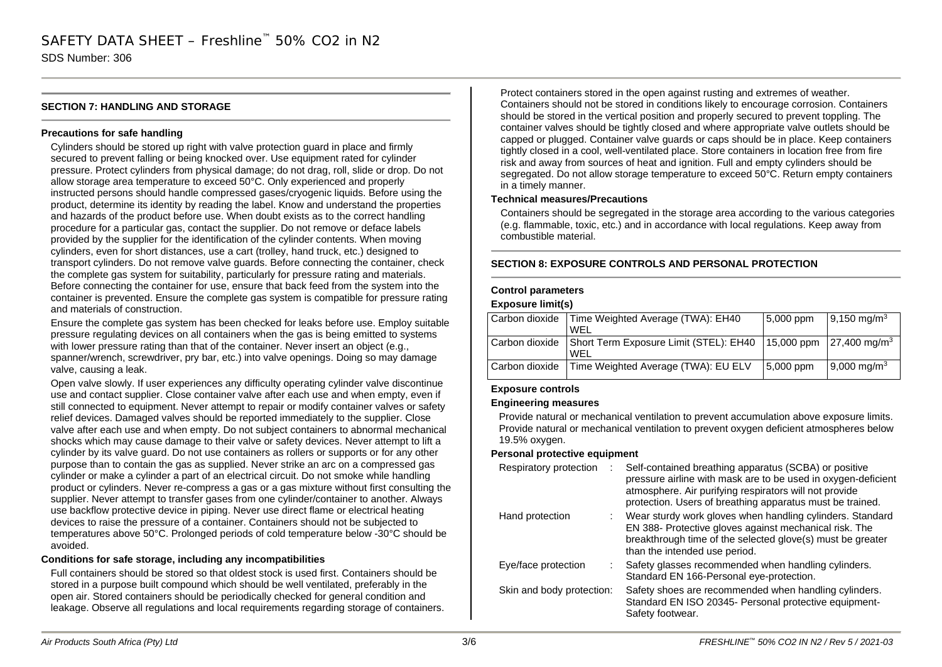### **SECTION 7: HANDLING AND STORAGE**

### **Precautions for safe handling**

Cylinders should be stored up right with valve protection guard in place and firmly secured to prevent falling or being knocked over. Use equipment rated for cylinder pressure. Protect cylinders from physical damage; do not drag, roll, slide or drop. Do not allow storage area temperature to exceed 50°C. Only experienced and properly instructed persons should handle compressed gases/cryogenic liquids. Before using the product, determine its identity by reading the label. Know and understand the properties and hazards of the product before use. When doubt exists as to the correct handling procedure for a particular gas, contact the supplier. Do not remove or deface labels provided by the supplier for the identification of the cylinder contents. When moving cylinders, even for short distances, use a cart (trolley, hand truck, etc.) designed to transport cylinders. Do not remove valve guards. Before connecting the container, check the complete gas system for suitability, particularly for pressure rating and materials. Before connecting the container for use, ensure that back feed from the system into the container is prevented. Ensure the complete gas system is compatible for pressure rating and materials of construction.

Ensure the complete gas system has been checked for leaks before use. Employ suitable pressure regulating devices on all containers when the gas is being emitted to systems with lower pressure rating than that of the container. Never insert an object (e.g., spanner/wrench, screwdriver, pry bar, etc.) into valve openings. Doing so may damage valve, causing a leak.

Open valve slowly. If user experiences any difficulty operating cylinder valve discontinue use and contact supplier. Close container valve after each use and when empty, even if still connected to equipment. Never attempt to repair or modify container valves or safety relief devices. Damaged valves should be reported immediately to the supplier. Close valve after each use and when empty. Do not subject containers to abnormal mechanical shocks which may cause damage to their valve or safety devices. Never attempt to lift a cylinder by its valve guard. Do not use containers as rollers or supports or for any other purpose than to contain the gas as supplied. Never strike an arc on a compressed gas cylinder or make a cylinder a part of an electrical circuit. Do not smoke while handling product or cylinders. Never re-compress a gas or a gas mixture without first consulting the supplier. Never attempt to transfer gases from one cylinder/container to another. Always use backflow protective device in piping. Never use direct flame or electrical heating devices to raise the pressure of a container. Containers should not be subjected to temperatures above 50°C. Prolonged periods of cold temperature below -30°C should be avoided.

### **Conditions for safe storage, including any incompatibilities**

Full containers should be stored so that oldest stock is used first. Containers should be stored in a purpose built compound which should be well ventilated, preferably in the open air. Stored containers should be periodically checked for general condition and leakage. Observe all regulations and local requirements regarding storage of containers.

Protect containers stored in the open against rusting and extremes of weather. Containers should not be stored in conditions likely to encourage corrosion. Containers should be stored in the vertical position and properly secured to prevent toppling. The container valves should be tightly closed and where appropriate valve outlets should be capped or plugged. Container valve guards or caps should be in place. Keep containers tightly closed in a cool, well-ventilated place. Store containers in location free from fire risk and away from sources of heat and ignition. Full and empty cylinders should be segregated. Do not allow storage temperature to exceed 50°C. Return empty containers in a timely manner.

#### **Technical measures/Precautions**

Containers should be segregated in the storage area according to the various categories (e.g. flammable, toxic, etc.) and in accordance with local regulations. Keep away from combustible material.

### **SECTION 8: EXPOSURE CONTROLS AND PERSONAL PROTECTION**

### **Control parameters**

### **Exposure limit(s)**

|                | Carbon dioxide   Time Weighted Average (TWA): EH40                                  | 5,000 ppm   | $9,150 \text{ mg/m}^3$  |
|----------------|-------------------------------------------------------------------------------------|-------------|-------------------------|
|                | WFI                                                                                 |             |                         |
| Carbon dioxide | Short Term Exposure Limit (STEL): EH40   15,000 ppm $\frac{27,400 \text{ mg}}{m^3}$ |             |                         |
|                | WFL                                                                                 |             |                         |
| Carbon dioxide | Time Weighted Average (TWA): EU ELV                                                 | $5,000$ ppm | 9,000 mg/m <sup>3</sup> |
|                |                                                                                     |             |                         |

### **Exposure controls**

#### **Engineering measures**

Provide natural or mechanical ventilation to prevent accumulation above exposure limits. Provide natural or mechanical ventilation to prevent oxygen deficient atmospheres below 19.5% oxygen.

### **Personal protective equipment**

| Respiratory protection    | Self-contained breathing apparatus (SCBA) or positive<br>pressure airline with mask are to be used in oxygen-deficient<br>atmosphere. Air purifying respirators will not provide<br>protection. Users of breathing apparatus must be trained. |
|---------------------------|-----------------------------------------------------------------------------------------------------------------------------------------------------------------------------------------------------------------------------------------------|
| Hand protection           | : Wear sturdy work gloves when handling cylinders. Standard<br>EN 388- Protective gloves against mechanical risk. The<br>breakthrough time of the selected glove(s) must be greater<br>than the intended use period.                          |
| Eye/face protection       | Safety glasses recommended when handling cylinders.<br>Standard EN 166-Personal eye-protection.                                                                                                                                               |
| Skin and body protection: | Safety shoes are recommended when handling cylinders.<br>Standard EN ISO 20345- Personal protective equipment-<br>Safety footwear.                                                                                                            |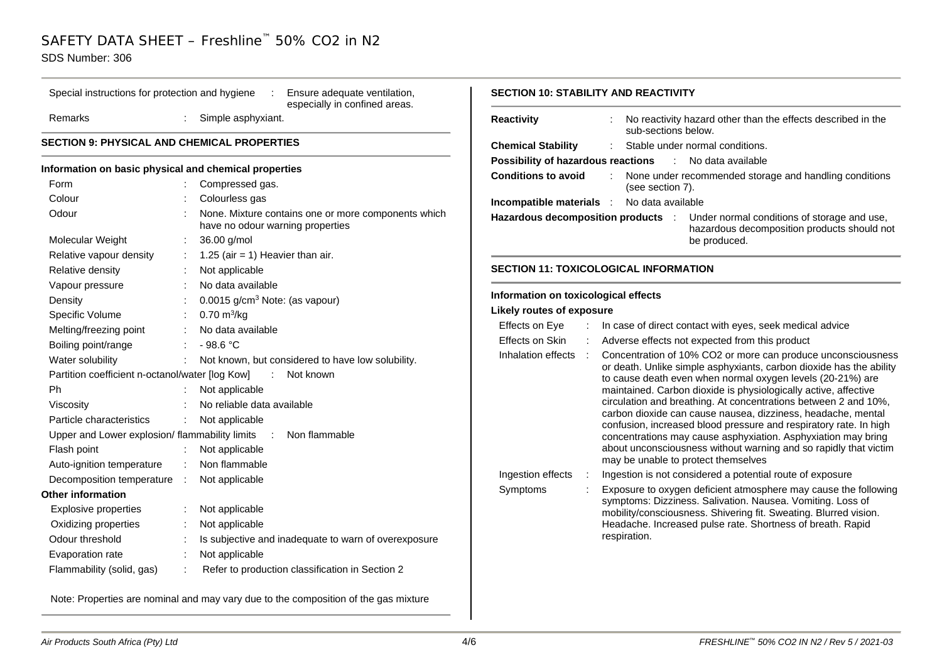# *SAFETY DATA SHEET – Freshline™ 50% CO2 in N2*

### SDS Number: 306

| Special instructions for protection and hygiene       | Ensure adequate ventilation,<br>especially in confined areas.                           | <b>SECTION 10: STABILITY AND REACTIVITY</b>                                                                                                                                       |
|-------------------------------------------------------|-----------------------------------------------------------------------------------------|-----------------------------------------------------------------------------------------------------------------------------------------------------------------------------------|
| <b>Remarks</b>                                        | Simple asphyxiant.                                                                      | <b>Reactivity</b><br>No reactivity hazard other than the effects described in the<br>sub-sections below.                                                                          |
| <b>SECTION 9: PHYSICAL AND CHEMICAL PROPERTIES</b>    |                                                                                         | <b>Chemical Stability</b><br>Stable under normal conditions.                                                                                                                      |
| Information on basic physical and chemical properties |                                                                                         | Possibility of hazardous reactions<br>: No data available                                                                                                                         |
| Form                                                  | Compressed gas.                                                                         | <b>Conditions to avoid</b><br>None under recommended storage and handling conditions                                                                                              |
| Colour                                                | Colourless gas                                                                          | (see section 7).                                                                                                                                                                  |
| Odour                                                 | None. Mixture contains one or more components which<br>have no odour warning properties | No data available<br>Incompatible materials :<br>Hazardous decomposition products :<br>Under normal conditions of storage and use,<br>hazardous decomposition products should not |
| Molecular Weight                                      | 36.00 g/mol                                                                             | be produced.                                                                                                                                                                      |
| Relative vapour density                               | 1.25 (air = 1) Heavier than air.                                                        |                                                                                                                                                                                   |
| Relative density                                      | Not applicable                                                                          | <b>SECTION 11: TOXICOLOGICAL INFORMATION</b>                                                                                                                                      |
| Vapour pressure                                       | No data available                                                                       |                                                                                                                                                                                   |
| Density                                               | 0.0015 g/cm <sup>3</sup> Note: (as vapour)                                              | Information on toxicological effects                                                                                                                                              |
| Specific Volume                                       | 0.70 $m^3/kg$                                                                           | <b>Likely routes of exposure</b>                                                                                                                                                  |
| Melting/freezing point                                | No data available                                                                       | Effects on Eye<br>In case of direct contact with eyes, seek medical advice                                                                                                        |
| Boiling point/range                                   | $-98.6 °C$                                                                              | Effects on Skin<br>Adverse effects not expected from this product                                                                                                                 |
| Water solubility                                      | Not known, but considered to have low solubility.                                       | Inhalation effects<br>Concentration of 10% CO2 or more can produce unconsciousness                                                                                                |
| Partition coefficient n-octanol/water [log Kow]       | : Not known                                                                             | or death. Unlike simple asphyxiants, carbon dioxide has the ability<br>to cause death even when normal oxygen levels (20-21%) are                                                 |
| Ph                                                    | Not applicable                                                                          | maintained. Carbon dioxide is physiologically active, affective                                                                                                                   |
| Viscosity                                             | No reliable data available                                                              | circulation and breathing. At concentrations between 2 and 10%,                                                                                                                   |
| Particle characteristics                              | Not applicable                                                                          | carbon dioxide can cause nausea, dizziness, headache, mental<br>confusion, increased blood pressure and respiratory rate. In high                                                 |
| Upper and Lower explosion/ flammability limits        | : Non flammable                                                                         | concentrations may cause asphyxiation. Asphyxiation may bring                                                                                                                     |
| Flash point                                           | Not applicable                                                                          | about unconsciousness without warning and so rapidly that victim                                                                                                                  |
| Auto-ignition temperature                             | Non flammable                                                                           | may be unable to protect themselves                                                                                                                                               |
| Decomposition temperature                             | Not applicable                                                                          | Ingestion effects<br>Ingestion is not considered a potential route of exposure                                                                                                    |
| <b>Other information</b>                              |                                                                                         | Exposure to oxygen deficient atmosphere may cause the following<br>Symptoms                                                                                                       |
| <b>Explosive properties</b>                           | Not applicable                                                                          | symptoms: Dizziness. Salivation. Nausea. Vomiting. Loss of<br>mobility/consciousness. Shivering fit. Sweating. Blurred vision.                                                    |
| Oxidizing properties                                  | Not applicable                                                                          | Headache. Increased pulse rate. Shortness of breath. Rapid                                                                                                                        |
| Odour threshold                                       | Is subjective and inadequate to warn of overexposure                                    | respiration.                                                                                                                                                                      |
| Evaporation rate                                      | Not applicable                                                                          |                                                                                                                                                                                   |
| Flammability (solid, gas)                             | Refer to production classification in Section 2                                         |                                                                                                                                                                                   |

Note: Properties are nominal and may vary due to the composition of the gas mixture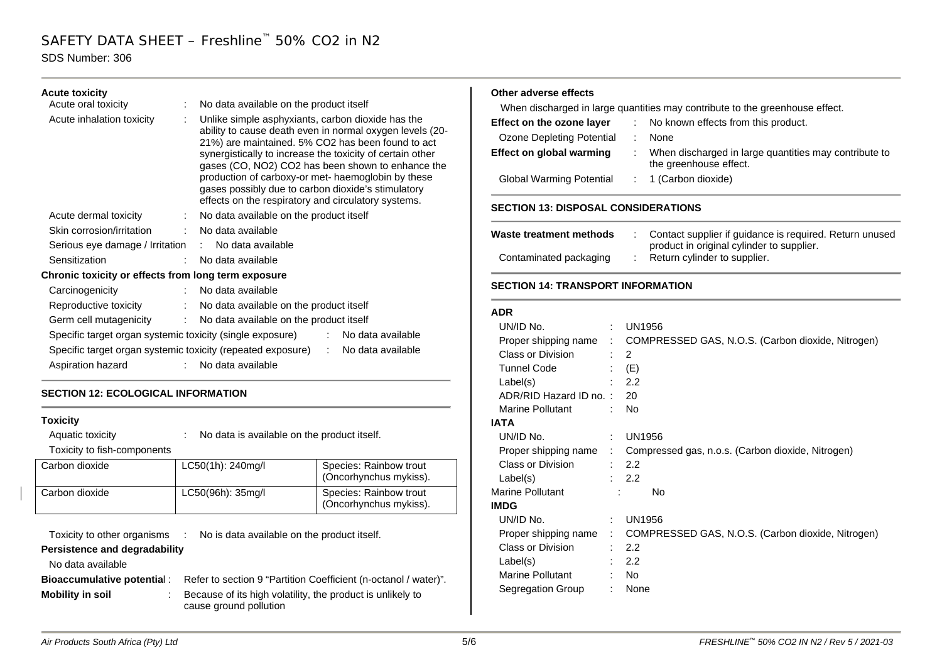## *SAFETY DATA SHEET – Freshline™ 50% CO2 in N2*

SDS Number: 306

### **Acute toxicity**

| Acute oral toxicity                                         | No data available on the product itself                                                                                                                                                                                                                                                                                                                                                                                                                 |
|-------------------------------------------------------------|---------------------------------------------------------------------------------------------------------------------------------------------------------------------------------------------------------------------------------------------------------------------------------------------------------------------------------------------------------------------------------------------------------------------------------------------------------|
| Acute inhalation toxicity<br>÷                              | Unlike simple asphyxiants, carbon dioxide has the<br>ability to cause death even in normal oxygen levels (20-<br>21%) are maintained. 5% CO2 has been found to act<br>synergistically to increase the toxicity of certain other<br>gases (CO, NO2) CO2 has been shown to enhance the<br>production of carboxy-or met- haemoglobin by these<br>gases possibly due to carbon dioxide's stimulatory<br>effects on the respiratory and circulatory systems. |
| Acute dermal toxicity                                       | No data available on the product itself                                                                                                                                                                                                                                                                                                                                                                                                                 |
| Skin corrosion/irritation<br>÷                              | No data available                                                                                                                                                                                                                                                                                                                                                                                                                                       |
| Serious eye damage / Irritation                             | : No data available                                                                                                                                                                                                                                                                                                                                                                                                                                     |
| Sensitization                                               | No data available                                                                                                                                                                                                                                                                                                                                                                                                                                       |
| Chronic toxicity or effects from long term exposure         |                                                                                                                                                                                                                                                                                                                                                                                                                                                         |
| Carcinogenicity                                             | No data available                                                                                                                                                                                                                                                                                                                                                                                                                                       |
| Reproductive toxicity                                       | No data available on the product itself                                                                                                                                                                                                                                                                                                                                                                                                                 |
| Germ cell mutagenicity<br>÷.                                | No data available on the product itself                                                                                                                                                                                                                                                                                                                                                                                                                 |
| Specific target organ systemic toxicity (single exposure)   | No data available                                                                                                                                                                                                                                                                                                                                                                                                                                       |
| Specific target organ systemic toxicity (repeated exposure) | No data available<br>$\mathbb{R}^{n}$                                                                                                                                                                                                                                                                                                                                                                                                                   |
| Aspiration hazard<br>t.                                     | No data available                                                                                                                                                                                                                                                                                                                                                                                                                                       |

### **SECTION 12: ECOLOGICAL INFORMATION**

### **Toxicity**

| Aquatic toxicity            | No data is available on the product itself. |                        |
|-----------------------------|---------------------------------------------|------------------------|
| Toxicity to fish-components |                                             |                        |
| Carbon dioxide              | LC50(1h): 240mg/l                           | Species: Rainbow trout |

|                |                   | (Oncorhynchus mykiss).                           |
|----------------|-------------------|--------------------------------------------------|
| Carbon dioxide | LC50(96h): 35mg/l | Species: Rainbow trout<br>(Oncorhynchus mykiss). |

Toxicity to other organisms : No is data available on the product itself.

**Persistence and degradability**

No data available

**Bioaccumulative potential :** Refer to section 9 "Partition Coefficient (n-octanol / water)".

**Mobility in soil** : Because of its high volatility, the product is unlikely to cause ground pollution

### **Other adverse effects**

| When discharged in large quantities may contribute to the greenhouse effect. |    |                                                                                 |
|------------------------------------------------------------------------------|----|---------------------------------------------------------------------------------|
| Effect on the ozone layer                                                    |    | : No known effects from this product.                                           |
| Ozone Depleting Potential                                                    | ÷. | <b>None</b>                                                                     |
| Effect on global warming                                                     |    | When discharged in large quantities may contribute to<br>the greenhouse effect. |
| Global Warming Potential                                                     |    | $: 1$ (Carbon dioxide)                                                          |

### **SECTION 13: DISPOSAL CONSIDERATIONS**

| Waste treatment methods | Contact supplier if quidance is required. Return unused<br>product in original cylinder to supplier. |
|-------------------------|------------------------------------------------------------------------------------------------------|
| Contaminated packaging  | Return cylinder to supplier.                                                                         |

### **SECTION 14: TRANSPORT INFORMATION**

### **ADR**

 $\sim$ 

| UN/ID No.                 | $\mathbb{R}^n$ | UN1956                                                                   |
|---------------------------|----------------|--------------------------------------------------------------------------|
|                           |                | Proper shipping name : COMPRESSED GAS, N.O.S. (Carbon dioxide, Nitrogen) |
| Class or Division : 2     |                |                                                                          |
| Tunnel Code : (E)         |                |                                                                          |
| Label(s)                  |                | : 2.2                                                                    |
| ADR/RID Hazard ID no.: 20 |                |                                                                          |
| Marine Pollutant          |                | : No                                                                     |
| <b>IATA</b>               |                |                                                                          |
| UN/ID No.                 |                | : UN1956                                                                 |
|                           |                | Proper shipping name : Compressed gas, n.o.s. (Carbon dioxide, Nitrogen) |
| Class or Division : 2.2   |                |                                                                          |
| Label(s)                  |                | $\therefore$ 2.2                                                         |
| <b>Marine Pollutant</b>   | $\mathcal{L}$  | No                                                                       |
| <b>IMDG</b>               |                |                                                                          |
| UN/ID No.                 | ÷              | UN1956                                                                   |
|                           |                | Proper shipping name : COMPRESSED GAS, N.O.S. (Carbon dioxide, Nitrogen) |
| Class or Division         |                | $\therefore$ 2.2                                                         |
| Label(s)                  |                | $\therefore$ 2.2                                                         |
| Marine Pollutant          |                | : No                                                                     |
| Segregation Group         | t.             | None                                                                     |